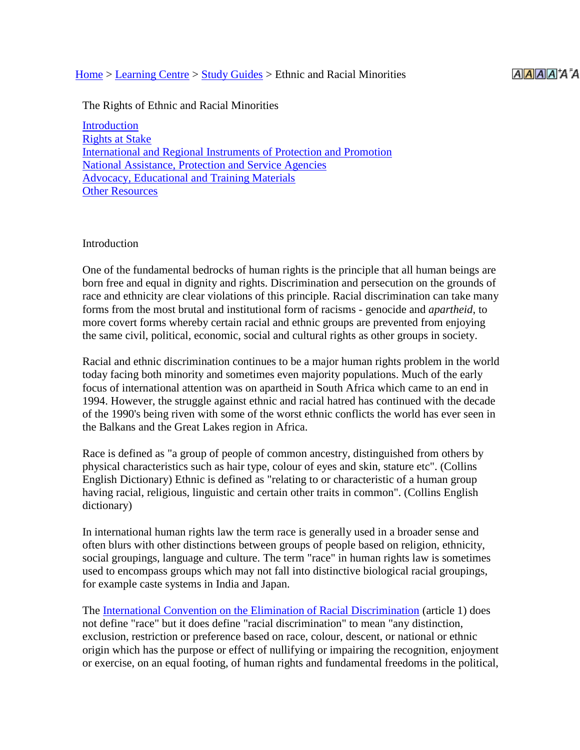#### [Home](http://www.hrea.org/index.php?doc_id=1) > [Learning Centre](http://www.hrea.org/index.php?doc_id=10) > [Study Guides](http://www.hrea.org/index.php?doc_id=145) > Ethnic and Racial Minorities

The Rights of Ethnic and Racial Minorities

**[Introduction](http://www.hrea.org/index.php?base_id=142#intro)** [Rights at Stake](http://www.hrea.org/index.php?base_id=142#rights) International [and Regional Instruments of Protection and Promotion](http://www.hrea.org/index.php?base_id=142#instruments) [National Assistance, Protection and Service Agencies](http://www.hrea.org/index.php?base_id=142#national) [Advocacy, Educational and Training Materials](http://www.hrea.org/index.php?base_id=142#materials) **[Other Resources](http://www.hrea.org/index.php?base_id=142#resources)** 

#### **Introduction**

One of the fundamental bedrocks of human rights is the principle that all human beings are born free and equal in dignity and rights. Discrimination and persecution on the grounds of race and ethnicity are clear violations of this principle. Racial discrimination can take many forms from the most brutal and institutional form of racisms - genocide and *apartheid*, to more covert forms whereby certain racial and ethnic groups are prevented from enjoying the same civil, political, economic, social and cultural rights as other groups in society.

Racial and ethnic discrimination continues to be a major human rights problem in the world today facing both minority and sometimes even majority populations. Much of the early focus of international attention was on apartheid in South Africa which came to an end in 1994. However, the struggle against ethnic and racial hatred has continued with the decade of the 1990's being riven with some of the worst ethnic conflicts the world has ever seen in the Balkans and the Great Lakes region in Africa.

Race is defined as "a group of people of common ancestry, distinguished from others by physical characteristics such as hair type, colour of eyes and skin, stature etc". (Collins English Dictionary) Ethnic is defined as "relating to or characteristic of a human group having racial, religious, linguistic and certain other traits in common". (Collins English dictionary)

In international human rights law the term race is generally used in a broader sense and often blurs with other distinctions between groups of people based on religion, ethnicity, social groupings, language and culture. The term "race" in human rights law is sometimes used to encompass groups which may not fall into distinctive biological racial groupings, for example caste systems in India and Japan.

The [International Convention on the Elimination of Racial Discrimination](http://www.hrea.org/erc/Library/display.php?doc_id=595&category_id=35&category_type=3&group=Human%20rights%20treaties%20and%20other%20instruments) (article 1) does not define "race" but it does define "racial discrimination" to mean "any distinction, exclusion, restriction or preference based on race, colour, descent, or national or ethnic origin which has the purpose or effect of nullifying or impairing the recognition, enjoyment or exercise, on an equal footing, of human rights and fundamental freedoms in the political,

## $A$  $A$  $A$  $A$  $A$  $A$  $A$  $A$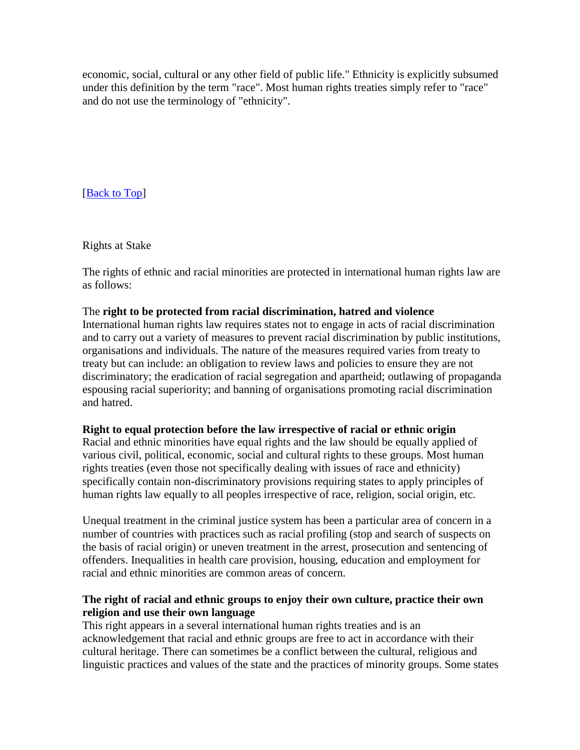economic, social, cultural or any other field of public life." Ethnicity is explicitly subsumed under this definition by the term "race". Most human rights treaties simply refer to "race" and do not use the terminology of "ethnicity".

[**Back to Top**]

Rights at Stake

The rights of ethnic and racial minorities are protected in international human rights law are as follows:

## The **right to be protected from racial discrimination, hatred and violence**

International human rights law requires states not to engage in acts of racial discrimination and to carry out a variety of measures to prevent racial discrimination by public institutions, organisations and individuals. The nature of the measures required varies from treaty to treaty but can include: an obligation to review laws and policies to ensure they are not discriminatory; the eradication of racial segregation and apartheid; outlawing of propaganda espousing racial superiority; and banning of organisations promoting racial discrimination and hatred.

# **Right to equal protection before the law irrespective of racial or ethnic origin**

Racial and ethnic minorities have equal rights and the law should be equally applied of various civil, political, economic, social and cultural rights to these groups. Most human rights treaties (even those not specifically dealing with issues of race and ethnicity) specifically contain non-discriminatory provisions requiring states to apply principles of human rights law equally to all peoples irrespective of race, religion, social origin, etc.

Unequal treatment in the criminal justice system has been a particular area of concern in a number of countries with practices such as racial profiling (stop and search of suspects on the basis of racial origin) or uneven treatment in the arrest, prosecution and sentencing of offenders. Inequalities in health care provision, housing, education and employment for racial and ethnic minorities are common areas of concern.

# **The right of racial and ethnic groups to enjoy their own culture, practice their own religion and use their own language**

This right appears in a several international human rights treaties and is an acknowledgement that racial and ethnic groups are free to act in accordance with their cultural heritage. There can sometimes be a conflict between the cultural, religious and linguistic practices and values of the state and the practices of minority groups. Some states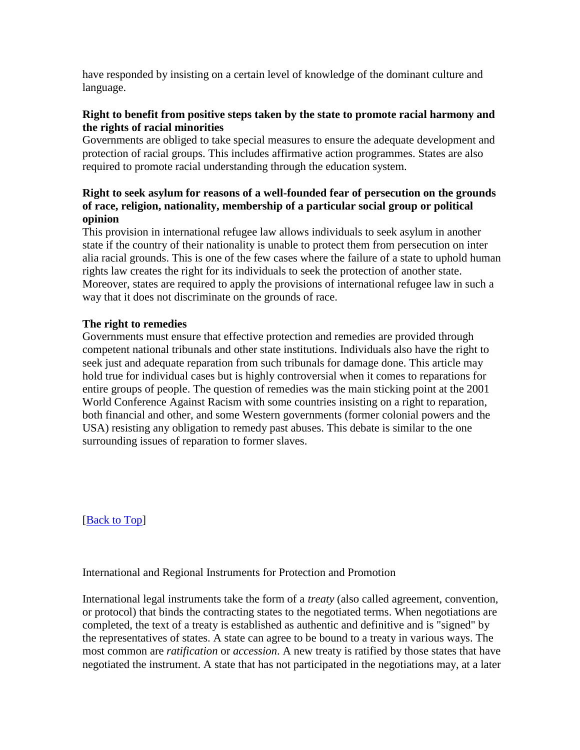have responded by insisting on a certain level of knowledge of the dominant culture and language.

# **Right to benefit from positive steps taken by the state to promote racial harmony and the rights of racial minorities**

Governments are obliged to take special measures to ensure the adequate development and protection of racial groups. This includes affirmative action programmes. States are also required to promote racial understanding through the education system.

# **Right to seek asylum for reasons of a well-founded fear of persecution on the grounds of race, religion, nationality, membership of a particular social group or political opinion**

This provision in international refugee law allows individuals to seek asylum in another state if the country of their nationality is unable to protect them from persecution on inter alia racial grounds. This is one of the few cases where the failure of a state to uphold human rights law creates the right for its individuals to seek the protection of another state. Moreover, states are required to apply the provisions of international refugee law in such a way that it does not discriminate on the grounds of race.

# **The right to remedies**

Governments must ensure that effective protection and remedies are provided through competent national tribunals and other state institutions. Individuals also have the right to seek just and adequate reparation from such tribunals for damage done. This article may hold true for individual cases but is highly controversial when it comes to reparations for entire groups of people. The question of remedies was the main sticking point at the 2001 World Conference Against Racism with some countries insisting on a right to reparation, both financial and other, and some Western governments (former colonial powers and the USA) resisting any obligation to remedy past abuses. This debate is similar to the one surrounding issues of reparation to former slaves.

[\[Back to Top\]](http://www.hrea.org/index.php?base_id=142#top)

# International and Regional Instruments for Protection and Promotion

International legal instruments take the form of a *treaty* (also called agreement, convention, or protocol) that binds the contracting states to the negotiated terms. When negotiations are completed, the text of a treaty is established as authentic and definitive and is "signed" by the representatives of states. A state can agree to be bound to a treaty in various ways. The most common are *ratification* or *accession*. A new treaty is ratified by those states that have negotiated the instrument. A state that has not participated in the negotiations may, at a later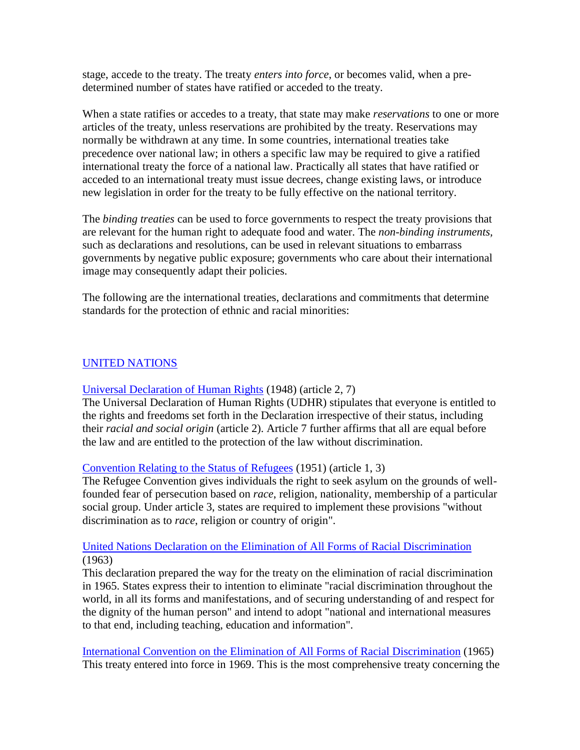stage, accede to the treaty. The treaty *enters into force*, or becomes valid, when a predetermined number of states have ratified or acceded to the treaty.

When a state ratifies or accedes to a treaty, that state may make *reservations* to one or more articles of the treaty, unless reservations are prohibited by the treaty. Reservations may normally be withdrawn at any time. In some countries, international treaties take precedence over national law; in others a specific law may be required to give a ratified international treaty the force of a national law. Practically all states that have ratified or acceded to an international treaty must issue decrees, change existing laws, or introduce new legislation in order for the treaty to be fully effective on the national territory.

The *binding treaties* can be used to force governments to respect the treaty provisions that are relevant for the human right to adequate food and water. The *non-binding instruments,* such as declarations and resolutions, can be used in relevant situations to embarrass governments by negative public exposure; governments who care about their international image may consequently adapt their policies.

The following are the international treaties, declarations and commitments that determine standards for the protection of ethnic and racial minorities:

# [UNITED NATIONS](http://www.un.org/)

## [Universal Declaration of Human Rights](http://www.hrea.org/erc/Library/display.php?doc_id=445&category_id=24&category_type=3) (1948) (article 2, 7)

The Universal Declaration of Human Rights (UDHR) stipulates that everyone is entitled to the rights and freedoms set forth in the Declaration irrespective of their status, including their *racial and social origin* (article 2). Article 7 further affirms that all are equal before the law and are entitled to the protection of the law without discrimination.

## [Convention Relating to the Status of Refugees](http://www.hrea.org/erc/Library/display.php?doc_id=467&category_id=28&category_type=3&group=Human%20rights%20treaties%20and%20other%20instruments) (1951) (article 1, 3)

The Refugee Convention gives individuals the right to seek asylum on the grounds of wellfounded fear of persecution based on *race*, religion, nationality, membership of a particular social group. Under article 3, states are required to implement these provisions "without discrimination as to *race*, religion or country of origin".

## [United Nations Declaration on the Elimination of All Forms of Racial Discrimination](http://www.hrea.org/erc/Library/display.php?doc_id=596&category_id=35&category_type=3&group=Human%20rights%20treaties%20and%20other%20instruments) (1963)

This declaration prepared the way for the treaty on the elimination of racial discrimination in 1965. States express their to intention to eliminate "racial discrimination throughout the world, in all its forms and manifestations, and of securing understanding of and respect for the dignity of the human person" and intend to adopt "national and international measures to that end, including teaching, education and information".

[International Convention on the Elimination of All Forms of Racial Discrimination](http://www.hrea.org/erc/Library/display.php?doc_id=595&category_id=35&category_type=3&group=Human%20rights%20treaties%20and%20other%20instruments) (1965) This treaty entered into force in 1969. This is the most comprehensive treaty concerning the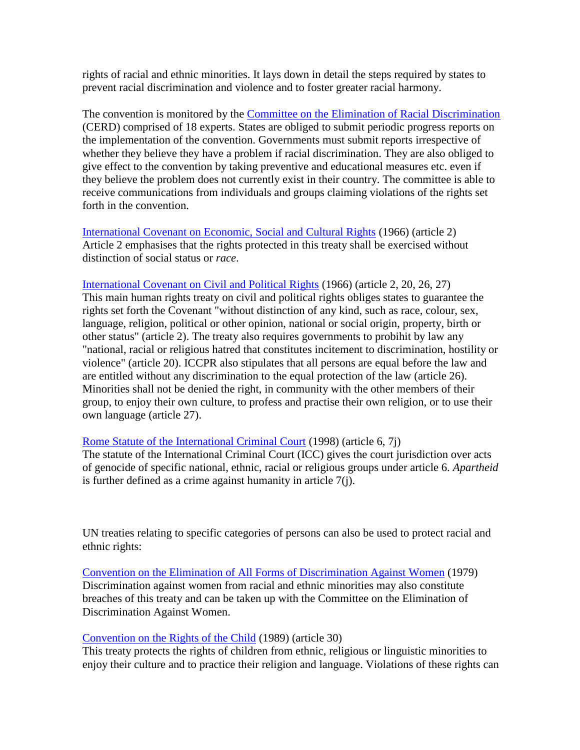rights of racial and ethnic minorities. It lays down in detail the steps required by states to prevent racial discrimination and violence and to foster greater racial harmony.

The convention is monitored by the [Committee on the Elimination of Racial Discrimination](http://www.unhchr.ch/html/menu2/6/cerd.htm) (CERD) comprised of 18 experts. States are obliged to submit periodic progress reports on the implementation of the convention. Governments must submit reports irrespective of whether they believe they have a problem if racial discrimination. They are also obliged to give effect to the convention by taking preventive and educational measures etc. even if they believe the problem does not currently exist in their country. The committee is able to receive communications from individuals and groups claiming violations of the rights set forth in the convention.

[International Covenant on Economic, Social and Cultural Rights](http://www.hrea.org/erc/Library/display.php?doc_id=451&category_id=24&category_type=3) (1966) (article 2) Article 2 emphasises that the rights protected in this treaty shall be exercised without distinction of social status or *race*.

[International Covenant on Civil and Political Rights](http://www.hrea.org/erc/Library/hrdocs/un/iccpr/english.html) (1966) (article 2, 20, 26, 27) This main human rights treaty on civil and political rights obliges states to guarantee the rights set forth the Covenant "without distinction of any kind, such as race, colour, sex, language, religion, political or other opinion, national or social origin, property, birth or other status" (article 2). The treaty also requires governments to probihit by law any "national, racial or religious hatred that constitutes incitement to discrimination, hostility or violence" (article 20). ICCPR also stipulates that all persons are equal before the law and are entitled without any discrimination to the equal protection of the law (article 26). Minorities shall not be denied the right, in community with the other members of their group, to enjoy their own culture, to profess and practise their own religion, or to use their own language (article 27).

[Rome Statute of the International Criminal Court](http://www1.umn.edu/humanrts/instree/Rome_Statute_ICC/Rome_ICC_toc.html) (1998) (article 6, 7j)

The statute of the International Criminal Court (ICC) gives the court jurisdiction over acts of genocide of specific national, ethnic, racial or religious groups under article 6. *Apartheid* is further defined as a crime against humanity in article 7(j).

UN treaties relating to specific categories of persons can also be used to protect racial and ethnic rights:

[Convention on the Elimination of All Forms of Discrimination Against Women](http://www.hrea.org/erc/Library/display.php?doc_id=483&category_id=31&category_type=3&group=Human%20rights%20treaties%20and%20other%20instruments) (1979) Discrimination against women from racial and ethnic minorities may also constitute breaches of this treaty and can be taken up with the Committee on the Elimination of Discrimination Against Women.

[Convention on the Rights of the Child](http://www.hrea.org/erc/Library/display.php?doc_id=473&category_id=29&category_type=3&group=Human%20rights%20treaties%20and%20other%20instruments) (1989) (article 30)

This treaty protects the rights of children from ethnic, religious or linguistic minorities to enjoy their culture and to practice their religion and language. Violations of these rights can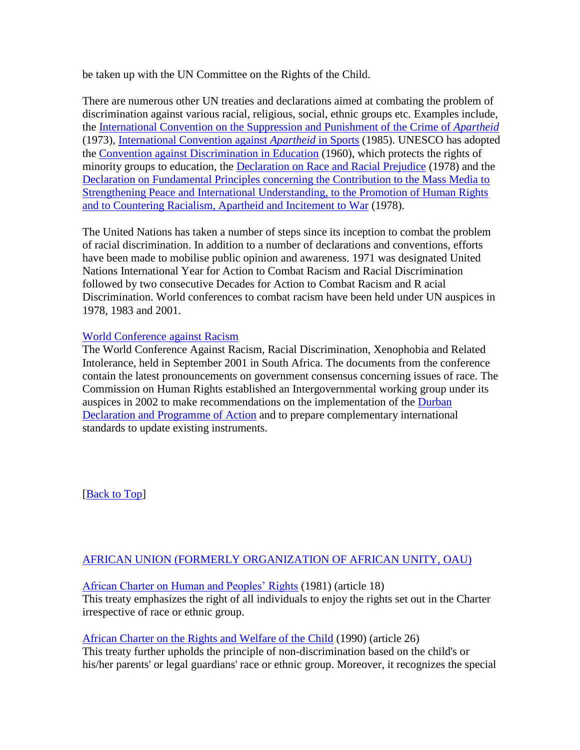be taken up with the UN Committee on the Rights of the Child.

There are numerous other UN treaties and declarations aimed at combating the problem of discrimination against various racial, religious, social, ethnic groups etc. Examples include, the [International Convention on the Suppression and Punishment of the Crime of](http://www.hrea.org/erc/Library/display.php?doc_id=930&category_id=35&category_type=3&group=Human%20rights%20treaties%20and%20other%20instruments) *Apartheid* (1973), [International Convention against](http://www.hrea.org/erc/Library/display.php?doc_id=931&category_id=35&category_type=3&group=Human%20rights%20treaties%20and%20other%20instruments) *Apartheid* in Sports (1985). UNESCO has adopted the [Convention against Discrimination in Education](http://www.hrea.org/erc/Library/display.php?doc_id=883&category_id=35&category_type=3&group=Human%20rights%20treaties%20and%20other%20instruments) (1960), which protects the rights of minority groups to education, the [Declaration on Race and Racial Prejudice](http://www.hrea.org/erc/Library/display.php?doc_id=936&category_id=35&category_type=3&group=Human%20rights%20treaties%20and%20other%20instruments) (1978) and the [Declaration on Fundamental Principles concerning the Contribution to the Mass Media to](http://www.hrea.org/erc/Library/display.php?doc_id=935&category_id=35&category_type=3&group=Human%20rights%20treaties%20and%20other%20instruments)  [Strengthening Peace and International Understanding, to the Promotion of Human Rights](http://www.hrea.org/erc/Library/display.php?doc_id=935&category_id=35&category_type=3&group=Human%20rights%20treaties%20and%20other%20instruments)  [and to Countering Racialism, Apartheid and Incitement to War](http://www.hrea.org/erc/Library/display.php?doc_id=935&category_id=35&category_type=3&group=Human%20rights%20treaties%20and%20other%20instruments) (1978).

The United Nations has taken a number of steps since its inception to combat the problem of racial discrimination. In addition to a number of declarations and conventions, efforts have been made to mobilise public opinion and awareness. 1971 was designated United Nations International Year for Action to Combat Racism and Racial Discrimination followed by two consecutive Decades for Action to Combat Racism and R acial Discrimination. World conferences to combat racism have been held under UN auspices in 1978, 1983 and 2001.

## [World Conference against Racism](http://www.un.org/wcar)

The World Conference Against Racism, Racial Discrimination, Xenophobia and Related Intolerance, held in September 2001 in South Africa. The documents from the conference contain the latest pronouncements on government consensus concerning issues of race. The Commission on Human Rights established an Intergovernmental working group under its auspices in 2002 to make recommendations on the implementation of the [Durban](http://www.hrea.org/lists/wcar/Durban.htm)  [Declaration and Programme of Action](http://www.hrea.org/lists/wcar/Durban.htm) and to prepare complementary international standards to update existing instruments.

[**Back to Top**]

# [AFRICAN UNION \(FORMERLY ORGANIZATION OF AFRICAN UNITY, OAU\)](http://www.africa-union.org/)

## [African Charter on Human and Peoples' Rights](http://www1.umn.edu/humanrts/instree/z1afchar.htm) (1981) (article 18)

This treaty emphasizes the right of all individuals to enjoy the rights set out in the Charter irrespective of race or ethnic group.

## [African Charter on the Rights and Welfare of the Child](http://www.hrea.org/erc/Library/display.php?doc_id=476&category_id=29&category_type=3&group=Human%20rights%20treaties%20and%20other%20instruments) (1990) (article 26)

This treaty further upholds the principle of non-discrimination based on the child's or his/her parents' or legal guardians' race or ethnic group. Moreover, it recognizes the special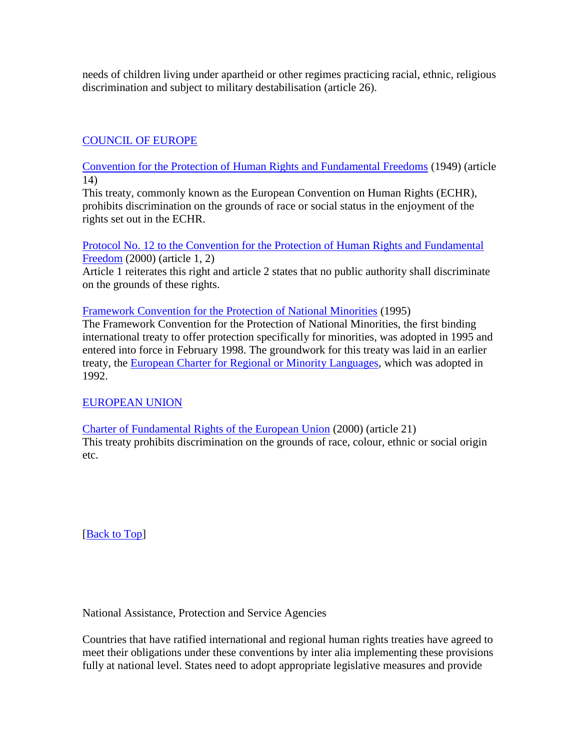needs of children living under apartheid or other regimes practicing racial, ethnic, religious discrimination and subject to military destabilisation (article 26).

# [COUNCIL OF EUROPE](http://www.coe.int/)

[Convention for the Protection of Human Rights and Fundamental Freedoms](http://www.hrea.org/erc/Library/hrdocs/coe/echr.html) (1949) (article 14)

This treaty, commonly known as the European Convention on Human Rights (ECHR), prohibits discrimination on the grounds of race or social status in the enjoyment of the rights set out in the ECHR.

[Protocol No. 12 to the Convention for the Protection of Human Rights and Fundamental](http://www1.umn.edu/humanrts/euro/z31prot12.html)  [Freedom](http://www1.umn.edu/humanrts/euro/z31prot12.html) (2000) (article 1, 2)

Article 1 reiterates this right and article 2 states that no public authority shall discriminate on the grounds of these rights.

[Framework Convention for the Protection of National Minorities](http://www1.umn.edu/humanrts/euro/ets157.html) (1995)

The Framework Convention for the Protection of National Minorities, the first binding international treaty to offer protection specifically for minorities, was adopted in 1995 and entered into force in February 1998. The groundwork for this treaty was laid in an earlier treaty, the [European Charter for Regional or Minority Languages,](http://www1.umn.edu/humanrts/euro/ets148.html) which was adopted in 1992.

# [EUROPEAN UNION](http://www.europa.eu.int/index_en.htm)

[Charter of Fundamental Rights of the European Union](http://www1.umn.edu/humanrts/instree/europeanunion2.html) (2000) (article 21) This treaty prohibits discrimination on the grounds of race, colour, ethnic or social origin etc.

[**Back to Top**]

National Assistance, Protection and Service Agencies

Countries that have ratified international and regional human rights treaties have agreed to meet their obligations under these conventions by inter alia implementing these provisions fully at national level. States need to adopt appropriate legislative measures and provide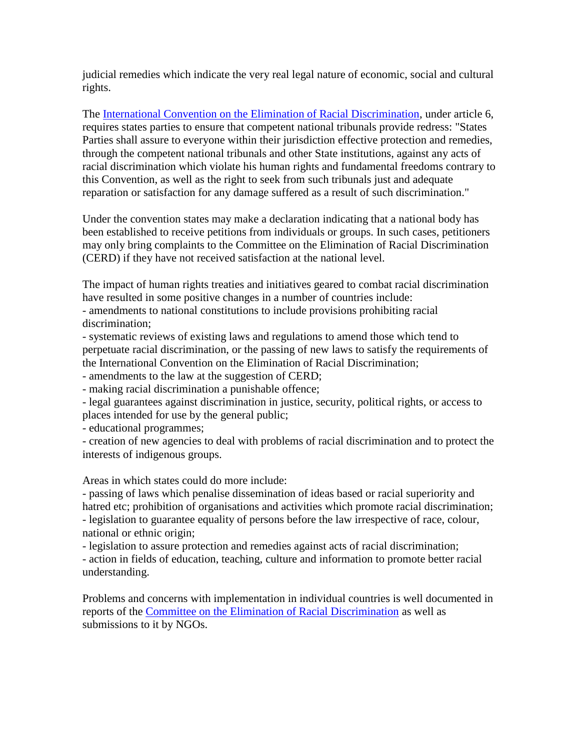judicial remedies which indicate the very real legal nature of economic, social and cultural rights.

The [International Convention on the Elimination of Racial Discrimination,](http://www.hrea.org/erc/Library/display.php?doc_id=595&category_id=35&category_type=3&group=Human%20rights%20treaties%20and%20other%20instruments) under article 6, requires states parties to ensure that competent national tribunals provide redress: "States Parties shall assure to everyone within their jurisdiction effective protection and remedies, through the competent national tribunals and other State institutions, against any acts of racial discrimination which violate his human rights and fundamental freedoms contrary to this Convention, as well as the right to seek from such tribunals just and adequate reparation or satisfaction for any damage suffered as a result of such discrimination."

Under the convention states may make a declaration indicating that a national body has been established to receive petitions from individuals or groups. In such cases, petitioners may only bring complaints to the Committee on the Elimination of Racial Discrimination (CERD) if they have not received satisfaction at the national level.

The impact of human rights treaties and initiatives geared to combat racial discrimination have resulted in some positive changes in a number of countries include:

- amendments to national constitutions to include provisions prohibiting racial discrimination;

- systematic reviews of existing laws and regulations to amend those which tend to perpetuate racial discrimination, or the passing of new laws to satisfy the requirements of the International Convention on the Elimination of Racial Discrimination;

- amendments to the law at the suggestion of CERD;

- making racial discrimination a punishable offence;

- legal guarantees against discrimination in justice, security, political rights, or access to places intended for use by the general public;

- educational programmes;

- creation of new agencies to deal with problems of racial discrimination and to protect the interests of indigenous groups.

Areas in which states could do more include:

- passing of laws which penalise dissemination of ideas based or racial superiority and hatred etc; prohibition of organisations and activities which promote racial discrimination; - legislation to guarantee equality of persons before the law irrespective of race, colour, national or ethnic origin;

- legislation to assure protection and remedies against acts of racial discrimination;

- action in fields of education, teaching, culture and information to promote better racial understanding.

Problems and concerns with implementation in individual countries is well documented in reports of the [Committee on the Elimination of Racial Discrimination](http://www.unhchr.ch/html/menu2/6/cerd.htm) as well as submissions to it by NGOs.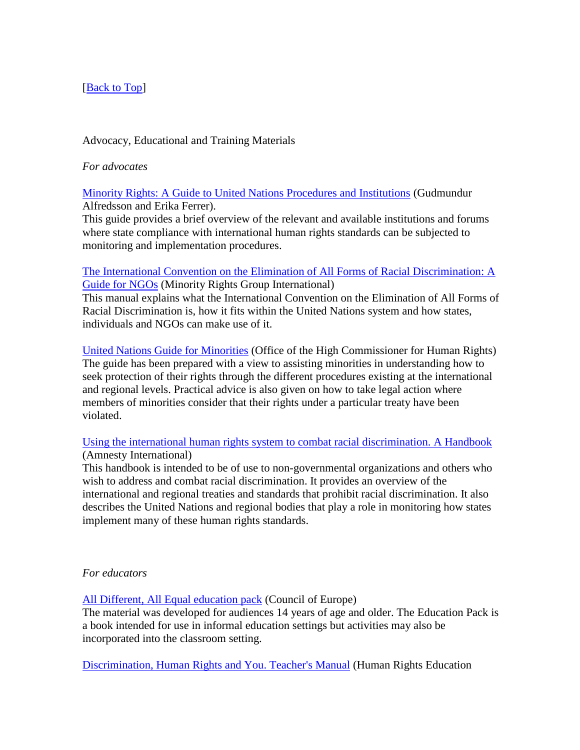# [**Back to Top**]

# Advocacy, Educational and Training Materials

*For advocates*

[Minority Rights: A Guide to United Nations Procedures and Institutions](http://www.hrea.org/erc/Library/display.php?doc_id=1711&category_id=749&category_type=2&group=) (Gudmundur Alfredsson and Erika Ferrer).

This guide provides a brief overview of the relevant and available institutions and forums where state compliance with international human rights standards can be subjected to monitoring and implementation procedures.

[The International Convention on the Elimination of All Forms of Racial Discrimination: A](http://www.hrea.org/erc/Library/display.php?doc_id=1717&category_id=461&category_type=2&group=)  [Guide for NGOs](http://www.hrea.org/erc/Library/display.php?doc_id=1717&category_id=461&category_type=2&group=) (Minority Rights Group International)

This manual explains what the International Convention on the Elimination of All Forms of Racial Discrimination is, how it fits within the United Nations system and how states, individuals and NGOs can make use of it.

[United Nations Guide for Minorities](http://www.hrea.org/erc/Library/display.php?doc_id=495&category_id=461&category_type=2&group=) (Office of the High Commissioner for Human Rights) The guide has been prepared with a view to assisting minorities in understanding how to seek protection of their rights through the different procedures existing at the international and regional levels. Practical advice is also given on how to take legal action where members of minorities consider that their rights under a particular treaty have been violated.

[Using the international human rights system to combat racial discrimination. A Handbook](http://www.hrea.org/erc/Library/display.php?doc_id=1709&category_id=461&category_type=2&group=) (Amnesty International)

This handbook is intended to be of use to non-governmental organizations and others who wish to address and combat racial discrimination. It provides an overview of the international and regional treaties and standards that prohibit racial discrimination. It also describes the United Nations and regional bodies that play a role in monitoring how states implement many of these human rights standards.

# *For educators*

[All Different, All Equal education pack](http://www.hrea.org/erc/Library/display.php?doc_id=829&category_id=438&category_type=2&group=) (Council of Europe)

The material was developed for audiences 14 years of age and older. The Education Pack is a book intended for use in informal education settings but activities may also be incorporated into the classroom setting.

[Discrimination, Human Rights and You. Teacher's Manual](http://www.hrea.org/erc/Library/display.php?doc_id=1083&category_id=747&category_type=2&group=) (Human Rights Education